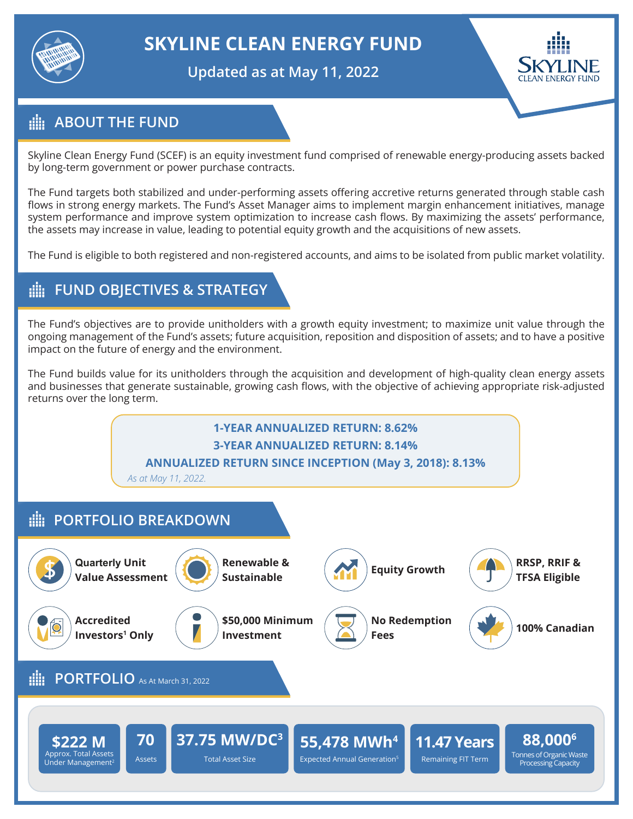

# **SKYLINE CLEAN ENERGY FUND**

**Updated as at May 11, 2022**



## **ABOUT THE FUND**

Skyline Clean Energy Fund (SCEF) is an equity investment fund comprised of renewable energy-producing assets backed by long-term government or power purchase contracts.

The Fund targets both stabilized and under-performing assets offering accretive returns generated through stable cash flows in strong energy markets. The Fund's Asset Manager aims to implement margin enhancement initiatives, manage system performance and improve system optimization to increase cash flows. By maximizing the assets' performance, the assets may increase in value, leading to potential equity growth and the acquisitions of new assets.

The Fund is eligible to both registered and non-registered accounts, and aims to be isolated from public market volatility.

## **FUND OBJECTIVES & STRATEGY**

The Fund's objectives are to provide unitholders with a growth equity investment; to maximize unit value through the ongoing management of the Fund's assets; future acquisition, reposition and disposition of assets; and to have a positive impact on the future of energy and the environment.

The Fund builds value for its unitholders through the acquisition and development of high-quality clean energy assets and businesses that generate sustainable, growing cash flows, with the objective of achieving appropriate risk-adjusted returns over the long term.